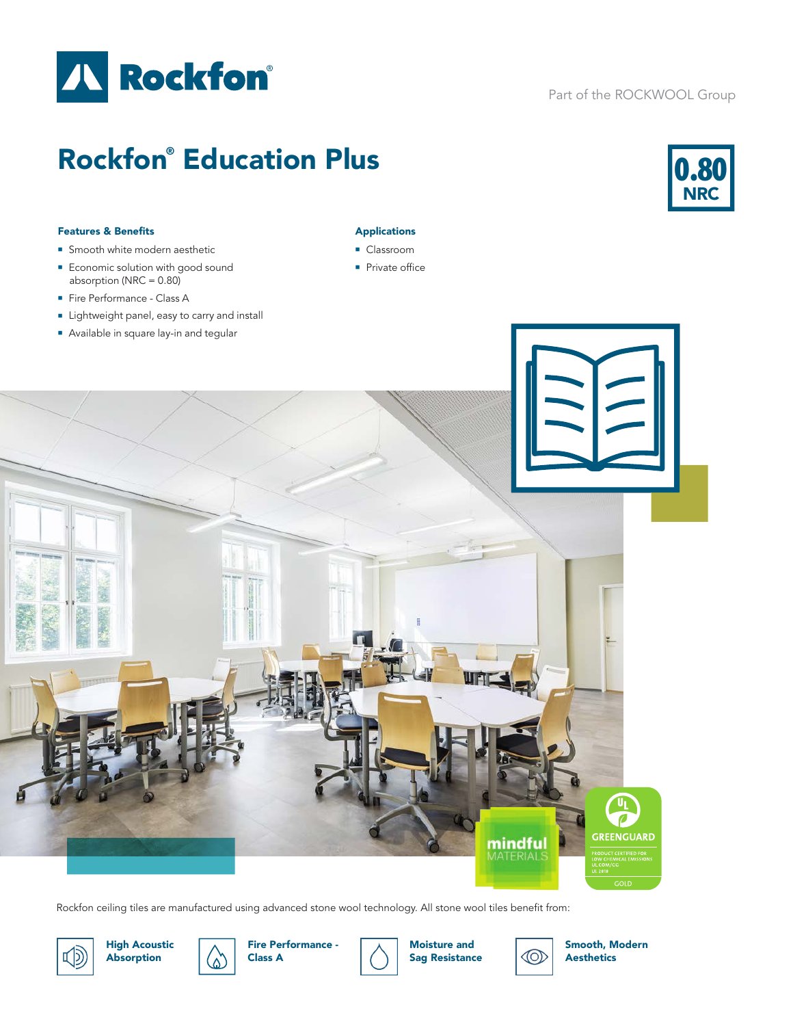

## Part of the ROCKWOOL Group

# Rockfon® Education Plus



#### Features & Benefits

- **n** Smooth white modern aesthetic
- **Economic solution with good sound** absorption (NRC  $= 0.80$ )
- Fire Performance Class A
- Lightweight panel, easy to carry and install
- **Available in square lay-in and tegular**

### Applications

- **Classroom**
- $\blacksquare$  Private office



Rockfon ceiling tiles are manufactured using advanced stone wool technology. All stone wool tiles benefit from:



High Acoustic Absorption





Moisture and Sag Resistance



Smooth, Modern Aesthetics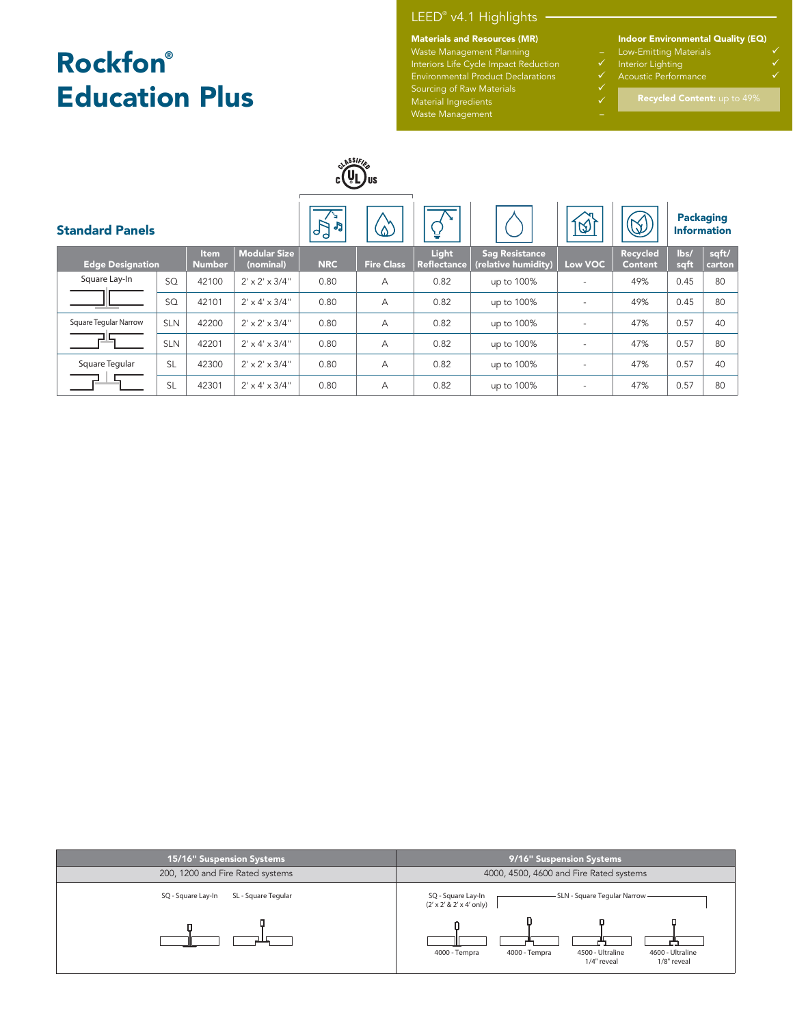# Rockfon® Education Plus

# LEED® v4.1 Highlights

#### Materials and Resources (MR)

Waste Management Planning – Interiors Life Cycle Impact Reduction ↓ Sourcing of Raw Materials **Sourcing** of Raw Materials

Material Ingredients and the control of the  $\checkmark$ Waste Management –

Indoor Environmental Quality (EQ)

- Low-Emitting Materials
- Interior Lighting
- 

| ASSIFIC<br>.Jus         |            |                              |                                  |                                             |                   |                             |                                              |                          |                            |                                        |                 |
|-------------------------|------------|------------------------------|----------------------------------|---------------------------------------------|-------------------|-----------------------------|----------------------------------------------|--------------------------|----------------------------|----------------------------------------|-----------------|
| <b>Standard Panels</b>  |            |                              |                                  | ¥.<br>$\mathcal{L}_{\mathsf{b}}$<br>JJ<br>d | $\Delta$          | ¥                           |                                              | $\varnothing$            | $\mathsf{Q}$               | <b>Packaging</b><br><b>Information</b> |                 |
| <b>Edge Designation</b> |            | <b>Item</b><br><b>Number</b> | <b>Modular Size</b><br>(nominal) | <b>NRC</b>                                  | <b>Fire Class</b> | Light<br><b>Reflectance</b> | <b>Sag Resistance</b><br>(relative humidity) | Low VOC                  | Recycled<br><b>Content</b> | lbs/<br>sqft                           | sqft/<br>carton |
| Square Lay-In           | SQ         | 42100                        | $2' \times 2' \times 3/4''$      | 0.80                                        | A                 | 0.82                        | up to 100%                                   |                          | 49%                        | 0.45                                   | 80              |
|                         | SQ         | 42101                        | $2' \times 4' \times 3/4''$      | 0.80                                        | A                 | 0.82                        | up to 100%                                   | $\sim$                   | 49%                        | 0.45                                   | 80              |
| Square Tegular Narrow   | <b>SLN</b> | 42200                        | $2' \times 2' \times 3/4''$      | 0.80                                        | А                 | 0.82                        | up to 100%                                   | $\overline{\phantom{a}}$ | 47%                        | 0.57                                   | 40              |
|                         | <b>SLN</b> | 42201                        | $2' \times 4' \times 3/4''$      | 0.80                                        | A                 | 0.82                        | up to 100%                                   | $\overline{\phantom{a}}$ | 47%                        | 0.57                                   | 80              |
| Square Tegular          | <b>SL</b>  | 42300                        | $2' \times 2' \times 3/4''$      | 0.80                                        | A                 | 0.82                        | up to 100%                                   | $\overline{\phantom{a}}$ | 47%                        | 0.57                                   | 40              |
|                         | <b>SL</b>  | 42301                        | $2' \times 4' \times 3/4''$      | 0.80                                        | A                 | 0.82                        | up to 100%                                   | $\overline{\phantom{a}}$ | 47%                        | 0.57                                   | 80              |

| 15/16" Suspension Systems                 | 9/16" Suspension Systems                                                                             |  |  |  |  |  |  |
|-------------------------------------------|------------------------------------------------------------------------------------------------------|--|--|--|--|--|--|
| 200, 1200 and Fire Rated systems          | 4000, 4500, 4600 and Fire Rated systems                                                              |  |  |  |  |  |  |
| SL - Square Tegular<br>SQ - Square Lay-In | SLN - Square Tegular Narrow<br>SQ - Square Lay-In<br>$(2' \times 2' \& 2' \times 4'$ only)           |  |  |  |  |  |  |
|                                           | 4500 - Ultraline<br>4000 - Tempra<br>4000 - Tempra<br>4600 - Ultraline<br>1/4" reveal<br>1/8" reveal |  |  |  |  |  |  |